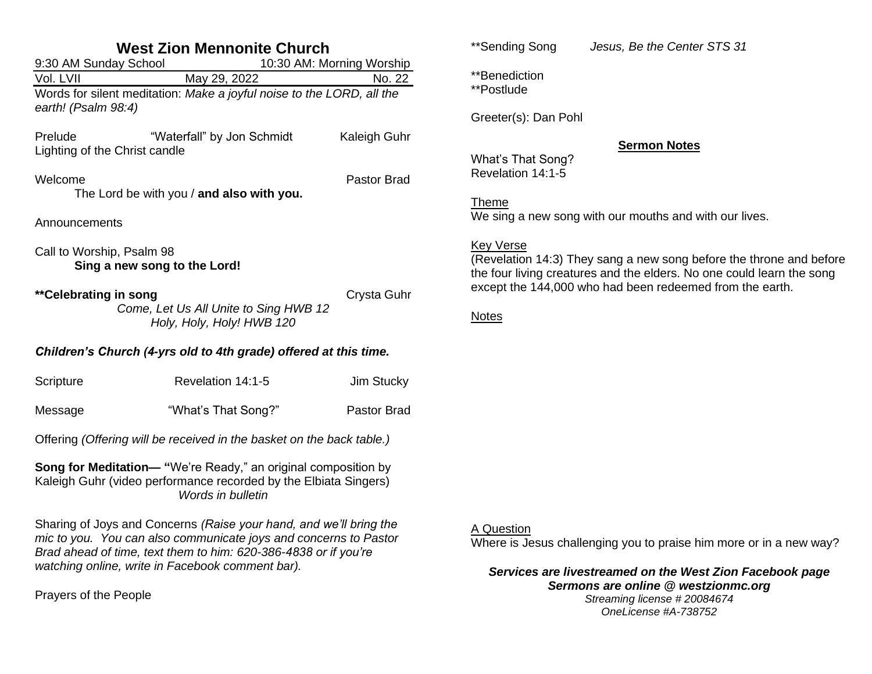| <b>West Zion Mennonite Church</b>                                                                                                                                     |                    |  |  |  |
|-----------------------------------------------------------------------------------------------------------------------------------------------------------------------|--------------------|--|--|--|
| 9:30 AM Sunday School<br>10:30 AM: Morning Worship                                                                                                                    |                    |  |  |  |
| May 29, 2022<br>Vol. LVII                                                                                                                                             | No. 22             |  |  |  |
| Words for silent meditation: Make a joyful noise to the LORD, all the<br>earth! (Psalm 98:4)                                                                          |                    |  |  |  |
| "Waterfall" by Jon Schmidt<br>Prelude<br>Lighting of the Christ candle                                                                                                | Kaleigh Guhr       |  |  |  |
| Welcome<br>The Lord be with you / and also with you.                                                                                                                  | <b>Pastor Brad</b> |  |  |  |
| Announcements                                                                                                                                                         |                    |  |  |  |
| Call to Worship, Psalm 98<br>Sing a new song to the Lord!                                                                                                             |                    |  |  |  |
| **Celebrating in song<br>Come, Let Us All Unite to Sing HWB 12<br>Holy, Holy, Holy! HWB 120                                                                           | Crysta Guhr        |  |  |  |
| Children's Church (4-yrs old to 4th grade) offered at this time.                                                                                                      |                    |  |  |  |
| Revelation 14:1-5<br>Scripture                                                                                                                                        | <b>Jim Stucky</b>  |  |  |  |
| "What's That Song?"<br>Message                                                                                                                                        | <b>Pastor Brad</b> |  |  |  |
| Offering (Offering will be received in the basket on the back table.)                                                                                                 |                    |  |  |  |
| <b>Song for Meditation—</b> "We're Ready," an original composition by<br>Kaleigh Guhr (video performance recorded by the Elbiata Singers)<br><b>Words in bulletin</b> |                    |  |  |  |

Sharing of Joys and Concerns *(Raise your hand, and we'll bring the mic to you. You can also communicate joys and concerns to Pastor Brad ahead of time, text them to him: 620-386-4838 or if you're watching online, write in Facebook comment bar).*

Prayers of the People

\*\*Sending Song *Jesus, Be the Center STS 31*

\*\*Benediction \*\*Postlude

Greeter(s): Dan Pohl

## **Sermon Notes**

What's That Song? Revelation 14:1-5

Theme

We sing a new song with our mouths and with our lives.

## Key Verse

(Revelation 14:3) They sang a new song before the throne and before the four living creatures and the elders. No one could learn the song except the 144,000 who had been redeemed from the earth.

**Notes** 

## A Question

Where is Jesus challenging you to praise him more or in a new way?

*Services are livestreamed on the West Zion Facebook page Sermons are online @ westzionmc.org*

*Streaming license # 20084674 OneLicense #A-738752*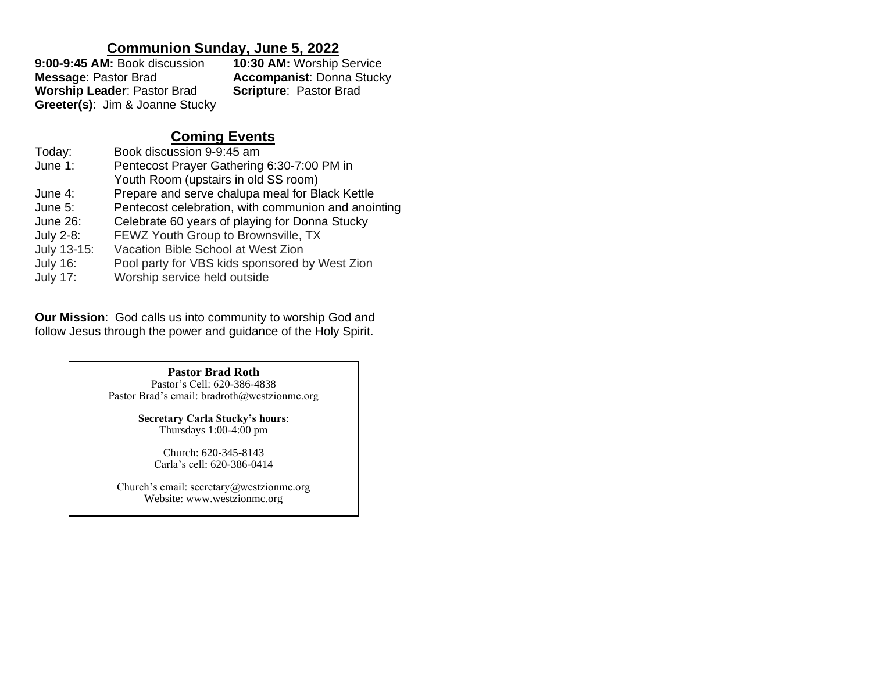## **Communion Sunday, June 5, 2022**

| 9:00-9:45 AM: Book discussion      | <b>10:30 AM: Worship Service</b> |  |
|------------------------------------|----------------------------------|--|
| <b>Message: Pastor Brad</b>        | <b>Accompanist: Donna Stucky</b> |  |
| <b>Worship Leader: Pastor Brad</b> | <b>Scripture: Pastor Brad</b>    |  |
| Greeter(s): Jim & Joanne Stucky    |                                  |  |

# **Coming Events**

| Today:          | Book discussion 9-9:45 am                           |
|-----------------|-----------------------------------------------------|
| June 1:         | Pentecost Prayer Gathering 6:30-7:00 PM in          |
|                 | Youth Room (upstairs in old SS room)                |
| June 4:         | Prepare and serve chalupa meal for Black Kettle     |
| June $5:$       | Pentecost celebration, with communion and anointing |
| June 26:        | Celebrate 60 years of playing for Donna Stucky      |
| July 2-8:       | FEWZ Youth Group to Brownsville, TX                 |
| July 13-15:     | Vacation Bible School at West Zion                  |
| <b>July 16:</b> | Pool party for VBS kids sponsored by West Zion      |
| <b>July 17:</b> | Worship service held outside                        |

**Our Mission**: God calls us into community to worship God and follow Jesus through the power and guidance of the Holy Spirit.

> **Pastor Brad Roth** Pastor's Cell: 620-386-4838 Pastor Brad's email: bradroth@westzionmc.org

> > **Secretary Carla Stucky's hours**: Thursdays 1:00-4:00 pm

> > > Church: 620-345-8143 Carla's cell: 620-386-0414

Church's email: secretary@westzionmc.org Website: www.westzionmc.org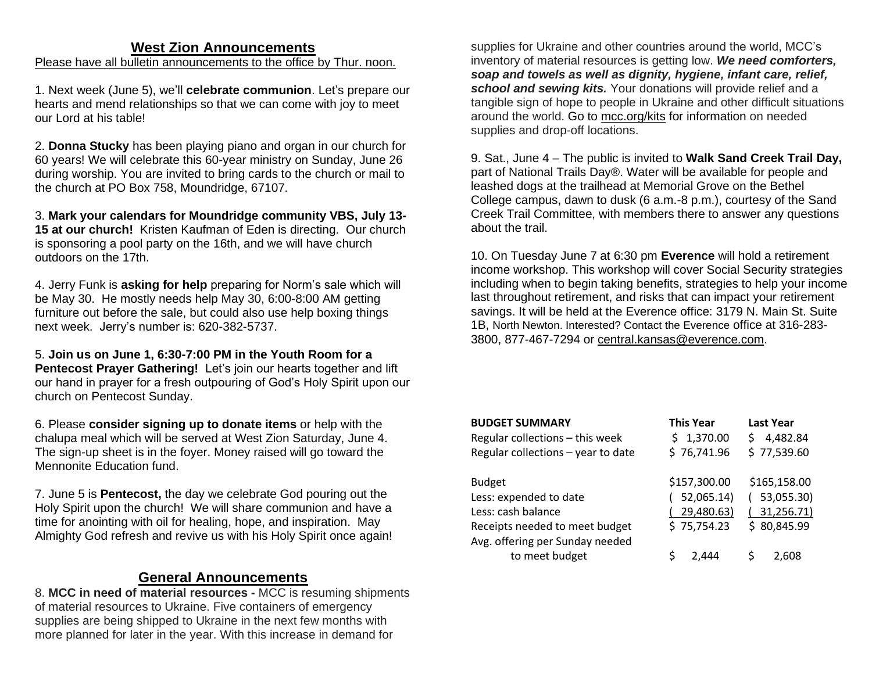## **West Zion Announcements**

Please have all bulletin announcements to the office by Thur. noon.

1. Next week (June 5), we'll **celebrate communion**. Let's prepare our hearts and mend relationships so that we can come with joy to meet our Lord at his table!

2. **Donna Stucky** has been playing piano and organ in our church for 60 years! We will celebrate this 60-year ministry on Sunday, June 26 during worship. You are invited to bring cards to the church or mail to the church at PO Box 758, Moundridge, 67107.

3. **Mark your calendars for Moundridge community VBS, July 13- 15 at our church!** Kristen Kaufman of Eden is directing. Our church is sponsoring a pool party on the 16th, and we will have church outdoors on the 17th.

4. Jerry Funk is **asking for help** preparing for Norm's sale which will be May 30. He mostly needs help May 30, 6:00-8:00 AM getting furniture out before the sale, but could also use help boxing things next week. Jerry's number is: 620-382-5737.

5. **Join us on June 1, 6:30-7:00 PM in the Youth Room for a Pentecost Prayer Gathering!** Let's join our hearts together and lift our hand in prayer for a fresh outpouring of God's Holy Spirit upon our church on Pentecost Sunday.

6. Please **consider signing up to donate items** or help with the chalupa meal which will be served at West Zion Saturday, June 4. The sign-up sheet is in the foyer. Money raised will go toward the Mennonite Education fund.

7. June 5 is **Pentecost,** the day we celebrate God pouring out the Holy Spirit upon the church! We will share communion and have a time for anointing with oil for healing, hope, and inspiration. May Almighty God refresh and revive us with his Holy Spirit once again!

#### **General Announcements**

8. **MCC in need of material resources -** MCC is resuming shipments of material resources to Ukraine. Five containers of emergency supplies are being shipped to Ukraine in the next few months with more planned for later in the year. With this increase in demand for

supplies for Ukraine and other countries around the world, MCC's inventory of material resources is getting low. *We need comforters, soap and towels as well as dignity, hygiene, infant care, relief, school and sewing kits.* Your donations will provide relief and a tangible sign of hope to people in Ukraine and other difficult situations around the world. Go to [mcc.org/kits](https://mcc.org/get-involved/kits) for information on needed supplies and drop-off locations.

9. Sat., June 4 – The public is invited to **Walk Sand Creek Trail Day,** part of National Trails Day®. Water will be available for people and leashed dogs at the trailhead at Memorial Grove on the Bethel College campus, dawn to dusk (6 a.m.-8 p.m.), courtesy of the Sand Creek Trail Committee, with members there to answer any questions about the trail.

10. On Tuesday June 7 at 6:30 pm **Everence** will hold a retirement income workshop. This workshop will cover Social Security strategies including when to begin taking benefits, strategies to help your income last throughout retirement, and risks that can impact your retirement savings. It will be held at the Everence office: 3179 N. Main St. Suite 1B, North Newton. Interested? Contact the Everence office at 316-283- 3800, 877-467-7294 or [central.kansas@everence.com.](mailto:central.kansas@everence.com)

| <b>BUDGET SUMMARY</b>              | <b>This Year</b> | <b>Last Year</b> |
|------------------------------------|------------------|------------------|
| Regular collections - this week    | \$1,370.00       | 4,482.84<br>Ś    |
| Regular collections - year to date | \$76,741.96      | \$77,539.60      |
|                                    |                  |                  |
| <b>Budget</b>                      | \$157,300.00     | \$165,158.00     |
| Less: expended to date             | 52,065.14)       | (53,055.30)      |
| Less: cash balance                 | 29,480.63)       | 31,256.71)       |
| Receipts needed to meet budget     | \$75,754.23      | \$80,845.99      |
| Avg. offering per Sunday needed    |                  |                  |
| to meet budget                     | S<br>2.444       | 2.608            |
|                                    |                  |                  |